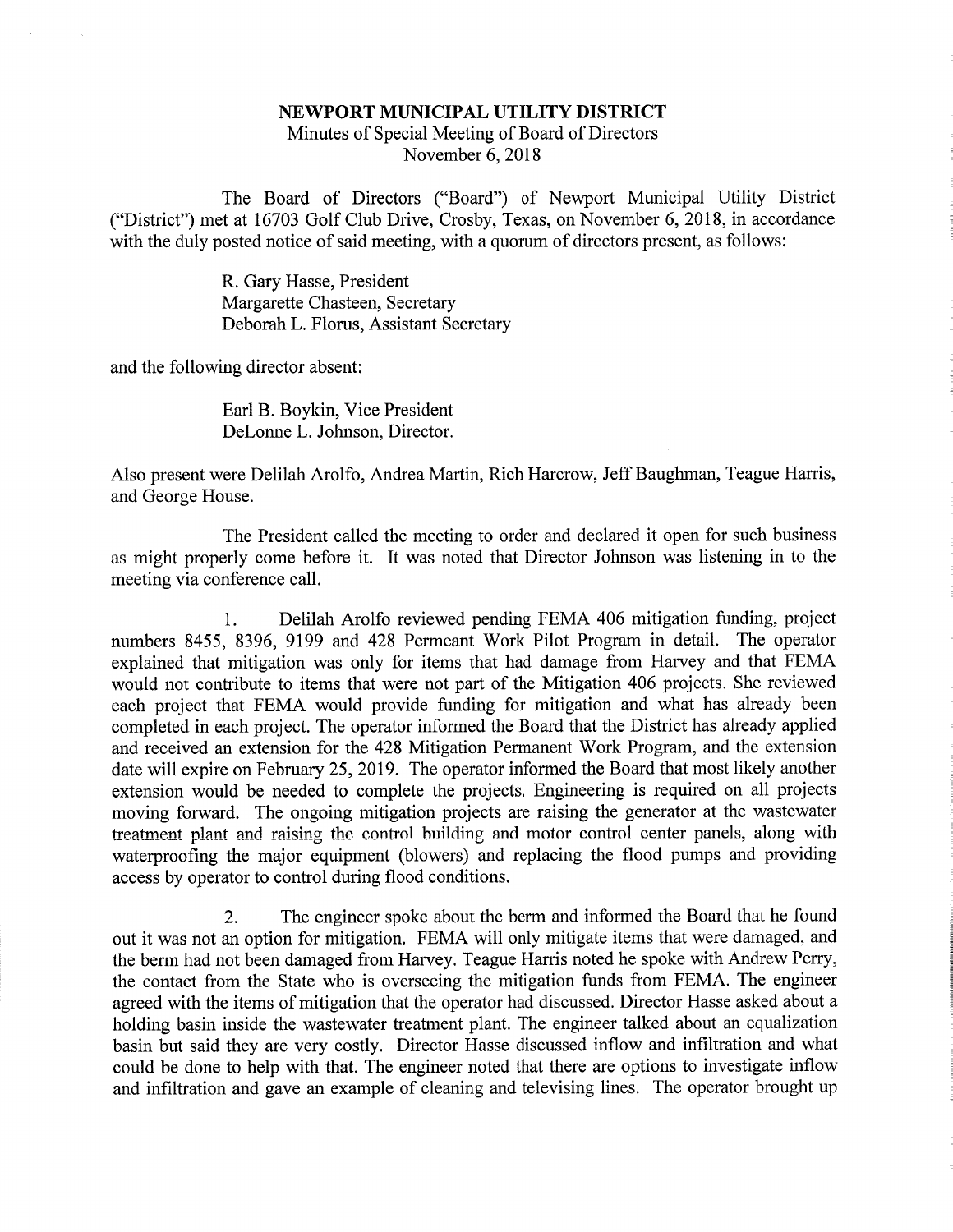## NEWPORT MUNICIPAL UTILITY DISTRICT Minutes of Special Meeting of Board of DirectorsNovember 6, 2018

The Board of Directors ("Board") of Newport Municipal Utility District ("District") met at 16703 Golf Club Drive, Crosby, Texas, on November 6, 2018, in accordancewith the duly posted notice of said meeting, with a quorum of directors present, as follows:

> R. Gary Hasse, President Margarette Chasteen, SecretaryDeborah L. Florus, Assistant Secretary

and the following director absent:

Earl B. Boykin, Vice PresidentDeLonne L. Johnson, Director.

Also present were Delilah Arolfo, Andrea Martin, Rich Harcrow, Jeff Baughman, Teague Harris,and George House.

The President called the meeting to order and declared it open for such business as might properly come before it. It was noted that Director Johnson was listening in to themeeting via conference call.

1. Delilah Arolfo reviewed pending FEMA 406 mitigation funding, project numbers 8455, 8396, 9199 and 428 Permeant Work Pilot Program in detail. The operator explained that mitigation was only for items that had damage from Harvey and that FEMA would not contribute to items that were not part of the Mitigation 406 projects. She reviewed each project that FEMA would provide funding for mitigation and what has already been completed in each project. The operator informed the Board that the District has already applied and received an extension for the 428 Mitigation Permanent Work Program, and the extension date will expire on February 25, 2019. The operator informed the Board that most likely another extension would be needed to complete the projects. Engineering is required on all projects moving forward. The ongoing mitigation projects are raising the generator at the wastewater treatment plant and raising the control building and motor control center panels, along with waterproofing the major equipment (blowers) and replacing the flood pumps and providingaccess by operator to control during flood conditions.

2. The engineer spoke about the berm and informed the Board that he foundout it was not an option for mitigation. FEMA will only mitigate items that were damaged, and the berm had not been damaged from Harvey. Teague Harris noted he spoke with Andrew Perry,the contact from the State who is overseeing the mitigation funds from FEMA. The engineer agreed with the items of mitigation that the operator had discussed. Director Hasse asked about a holding basin inside the wastewater treatment plant. The engineer talked about an equalization basin but said they are very costly. Director Hasse discussed inflow and infiltration and what could be done to help with that. The engineer noted that there are options to investigate inflowand infiltration and gave an example of cleaning and televising lines. The operator brought up